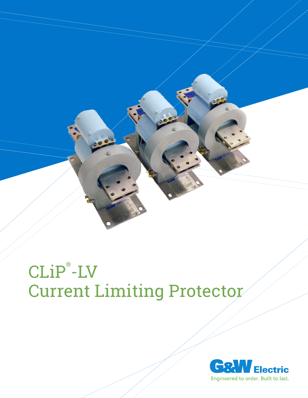

# CLiP® -LV Current Limiting Protector

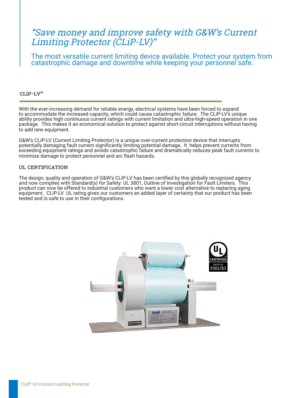# "Save money and improve safety with G&W's Current Limiting Protector (CLiP-LV)"

The most versatile current limiting device available. Protect your system from catastrophic damage and downtime while keeping your personnel safe.

## CLiP-LV®

With the ever-increasing demand for reliable energy, electrical systems have been forced to expand to accommodate the increased capacity, which could cause catastrophic failure. The CLiP-LV's unique ability provides high continuous current ratings with current limitation and ultra-high-speed operation in one package. This makes it an economical solution to protect against short-circuit interruptions without having to add new equipment.

G&W's CLiP-LV (Current Limiting Protector) is a unique over-current protection device that interrupts potentially damaging fault current significantly limiting potential damage. It helps prevent currents from exceeding equipment ratings and avoids catastrophic failure and dramatically reduces peak fault currents to minimize damage to protect personnel and arc flash hazards.

#### UL CERTIFICATION

The design, quality and operation of G&W's CLiP-LV has been certified by this globally recognized agency and now complies with Standard(s) for Safety: UL 3801, Outline of Investigation for Fault Limiters. This product can now be offered to industrial customers who want a lower cost alternative to replacing aging equipment. CLiP-LV UL rating gives our customers an added layer of certainty that our product has been tested and is safe to use in their configurations.

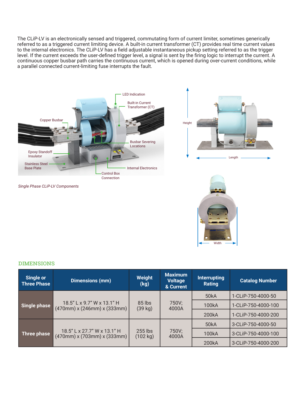The CLiP-LV is an electronically sensed and triggered, commutating form of current limiter, sometimes generically referred to as a triggered current limiting device. A built-in current transformer (CT) provides real time current values to the internal electronics. The CLiP-LV has a field adjustable instantaneous pickup setting referred to as the trigger level. If the current exceeds the user-defined trigger level, a signal is sent by the firing logic to interrupt the current. A continuous copper busbar path carries the continuous current, which is opened during over-current conditions, while a parallel connected current-limiting fuse interrupts the fault.





*Single Phase CLiP-LV Components*



### **DIMENSIONS**

| <b>Single or</b><br>Three Phase | <b>Dimensions (mm)</b>                                                       | Weight<br>(kg)        | <b>Maximum</b><br><b>Voltage</b><br>& Current | <b>Interrupting</b><br>Rating | <b>Catalog Number</b> |
|---------------------------------|------------------------------------------------------------------------------|-----------------------|-----------------------------------------------|-------------------------------|-----------------------|
| Single phase                    | 18.5" L x 9.7" W x 13.1" H<br>$(470$ mm $)$ x $(246$ mm $)$ x $(333$ mm $)$  | $85$ lbs<br>(39 kg)   | 750V;<br>4000A                                | 50 <sub>k</sub> A             | 1-CLiP-750-4000-50    |
|                                 |                                                                              |                       |                                               | 100kA                         | 1-CLiP-750-4000-100   |
|                                 |                                                                              |                       |                                               | 200kA                         | 1-CLiP-750-4000-200   |
| Three phase                     | 18.5" L x 27.7" W x 13.1" H<br>$(470$ mm $)$ x $(703$ mm $)$ x $(333$ mm $)$ | $255$ lbs<br>(102 kg) | 750V;<br>4000A                                | 50 <sub>k</sub> A             | 3-CLiP-750-4000-50    |
|                                 |                                                                              |                       |                                               | 100kA                         | 3-CLiP-750-4000-100   |
|                                 |                                                                              |                       |                                               | 200kA                         | 3-CLiP-750-4000-200   |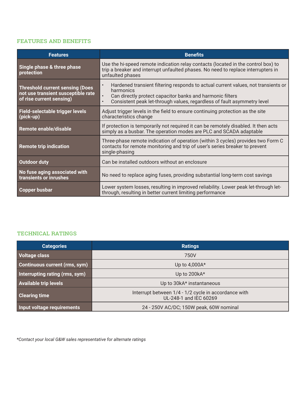## Features and Benefits

| <b>Features</b>                                                                                          | <b>Benefits</b>                                                                                                                                                                                                                                                               |
|----------------------------------------------------------------------------------------------------------|-------------------------------------------------------------------------------------------------------------------------------------------------------------------------------------------------------------------------------------------------------------------------------|
| Single phase & three phase<br>protection                                                                 | Use the hi-speed remote indication relay contacts (located in the control box) to<br>trip a breaker and interrupt unfaulted phases. No need to replace interrupters in<br>unfaulted phases                                                                                    |
| <b>Threshold current sensing (Does</b><br>not use transient susceptible rate<br>of rise current sensing) | Hardened transient filtering responds to actual current values, not transients or<br>$\bullet$<br>harmonics<br>$\bullet$<br>Can directly protect capacitor banks and harmonic filters<br>Consistent peak let-through values, regardless of fault asymmetry level<br>$\bullet$ |
| Field-selectable trigger levels<br>(pick-up)                                                             | Adjust trigger levels in the field to ensure continuing protection as the site<br>characteristics change                                                                                                                                                                      |
| Remote enable/disable                                                                                    | If protection is temporarily not required it can be remotely disabled. It then acts<br>simply as a busbar. The operation modes are PLC and SCADA adaptable                                                                                                                    |
| <b>Remote trip indication</b>                                                                            | Three-phase remote indication of operation (within 3 cycles) provides two Form C<br>contacts for remote monitoring and trip of user's series breaker to prevent<br>single-phasing                                                                                             |
| <b>Outdoor duty</b>                                                                                      | Can be installed outdoors without an enclosure                                                                                                                                                                                                                                |
| No fuse aging associated with<br>transients or inrushes                                                  | No need to replace aging fuses, providing substantial long-term cost savings                                                                                                                                                                                                  |
| Copper busbar                                                                                            | Lower system losses, resulting in improved reliability. Lower peak let-through let-<br>through, resulting in better current limiting performance                                                                                                                              |

# TECHNICAL RATINGS

| <b>Categories</b>                    | <b>Ratings</b>                                                                 |
|--------------------------------------|--------------------------------------------------------------------------------|
| <b>Voltage class</b>                 | 750V                                                                           |
| <b>Continuous current (rms, sym)</b> | Up to 4,000A*                                                                  |
| Interrupting rating (rms, sym)       | Up to 200kA*                                                                   |
| <b>Available trip levels</b>         | Up to 30kA* instantaneous                                                      |
| <b>Clearing time</b>                 | Interrupt between 1/4 - 1/2 cycle in accordance with<br>UL-248-1 and IEC 60269 |
| Input voltage requirements           | 24 - 250V AC/DC; 150W peak, 60W nominal                                        |

*\*Contact your local G&W sales representative for alternate ratings*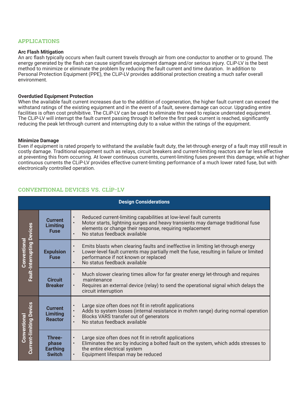#### Applications

#### **Arc Flash Mitigation**

An arc flash typically occurs when fault current travels through air from one conductor to another or to ground. The energy generated by the flash can cause significant equipment damage and/or serious injury. CLiP-LV is the best method to minimize or eliminate the problem by reducing the fault current and time duration. In addition to Personal Protection Equipment (PPE), the CLiP-LV provides additional protection creating a much safer overall environment.

#### **Overdutied Equipment Protection**

When the available fault current increases due to the addition of cogeneration, the higher fault current can exceed the withstand ratings of the existing equipment and in the event of a fault, severe damage can occur. Upgrading entire facilities is often cost prohibitive. The CLiP-LV can be used to eliminate the need to replace underrated equipment. The CLiP-LV will interrupt the fault current passing through it before the first peak current is reached, significantly reducing the peak let-through current and interrupting duty to a value within the ratings of the equipment.

#### **Minimize Damage**

Even if equipment is rated properly to withstand the available fault duty, the let-through energy of a fault may still result in costly damage. Traditional equipment such as relays, circuit breakers and current-limiting reactors are far less effective at preventing this from occurring. At lower continuous currents, current-limiting fuses prevent this damage; while at higher continuous currents the CLiP-LV provides effective current-limiting performance of a much lower rated fuse, but with electronically controlled operation.

# Conventional Devices vs. CLiP-LV

| <b>Design Considerations</b>                             |                                                     |                                                                                                                                                                                                                                                                                            |  |  |  |
|----------------------------------------------------------|-----------------------------------------------------|--------------------------------------------------------------------------------------------------------------------------------------------------------------------------------------------------------------------------------------------------------------------------------------------|--|--|--|
| <b>Fault-Interrupting Devices</b><br><b>Conventional</b> | <b>Current</b><br><b>Limiting</b><br><b>Fuse</b>    | Reduced current-limiting capabilities at low-level fault currents<br>$\bullet$<br>Motor starts, lightning surges and heavy transients may damage traditional fuse<br>$\bullet$<br>elements or change their response, requiring replacement<br>No status feedback available<br>$\bullet$    |  |  |  |
|                                                          | <b>Expulsion</b><br><b>Fuse</b>                     | Emits blasts when clearing faults and ineffective in limiting let-through energy<br>$\bullet$<br>Lower-level fault currents may partially melt the fuse, resulting in failure or limited<br>$\bullet$<br>performance if not known or replaced<br>No status feedback available<br>$\bullet$ |  |  |  |
|                                                          | <b>Circuit</b><br><b>Breaker</b>                    | Much slower clearing times allow for far greater energy let-through and requires<br>$\bullet$<br>maintenance<br>Requires an external device (relay) to send the operational signal which delays the<br>$\bullet$<br>circuit interruption                                                   |  |  |  |
| <b>Current-limiting Devics</b><br><b>Conventional</b>    | <b>Current</b><br><b>Limiting</b><br><b>Reactor</b> | Large size often does not fit in retrofit applications<br>$\bullet$<br>Adds to system losses (internal resistance in mohm range) during normal operation<br>$\bullet$<br>Blocks VARS transfer out of generators<br>$\bullet$<br>No status feedback available<br>$\bullet$                  |  |  |  |
|                                                          | Three-<br>phase<br><b>Earthing</b><br><b>Switch</b> | Large size often does not fit in retrofit applications<br>$\bullet$<br>Eliminates the arc by inducing a bolted fault on the system, which adds stresses to<br>$\bullet$<br>the entire electrical system<br>Equipment lifespan may be reduced<br>$\bullet$                                  |  |  |  |